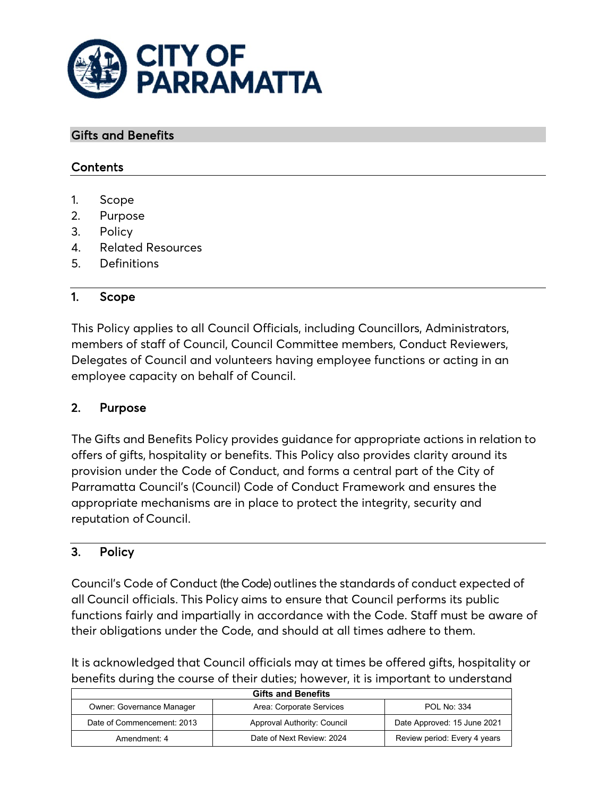

#### Gifts and Benefits

## **Contents**

- 1. Scope
- 2. Purpose
- 3. Policy
- 4. Related Resources
- 5. Definitions

## 1. Scope

This Policy applies to all Council Officials, including Councillors, Administrators, members of staff of Council, Council Committee members, Conduct Reviewers, Delegates of Council and volunteers having employee functions or acting in an employee capacity on behalf of Council.

## 2. Purpose

The Gifts and Benefits Policy provides guidance for appropriate actions in relation to offers of gifts, hospitality or benefits. This Policy also provides clarity around its provision under the Code of Conduct, and forms a central part of the City of Parramatta Council's (Council) Code of Conduct Framework and ensures the appropriate mechanisms are in place to protect the integrity, security and reputation of Council.

## 3. Policy

Council's Code of Conduct (the Code) outlines the standards of conduct expected of all Council officials. This Policy aims to ensure that Council performs its public functions fairly and impartially in accordance with the Code. Staff must be aware of their obligations under the Code, and should at all times adhere to them.

It is acknowledged that Council officials may at times be offered gifts, hospitality or benefits during the course of their duties; however, it is important to understand

| <b>Gifts and Benefits</b>        |                             |                              |
|----------------------------------|-----------------------------|------------------------------|
| <b>Owner: Governance Manager</b> | Area: Corporate Services    | <b>POL No: 334</b>           |
| Date of Commencement: 2013       | Approval Authority: Council | Date Approved: 15 June 2021  |
| Amendment: 4                     | Date of Next Review: 2024   | Review period: Every 4 years |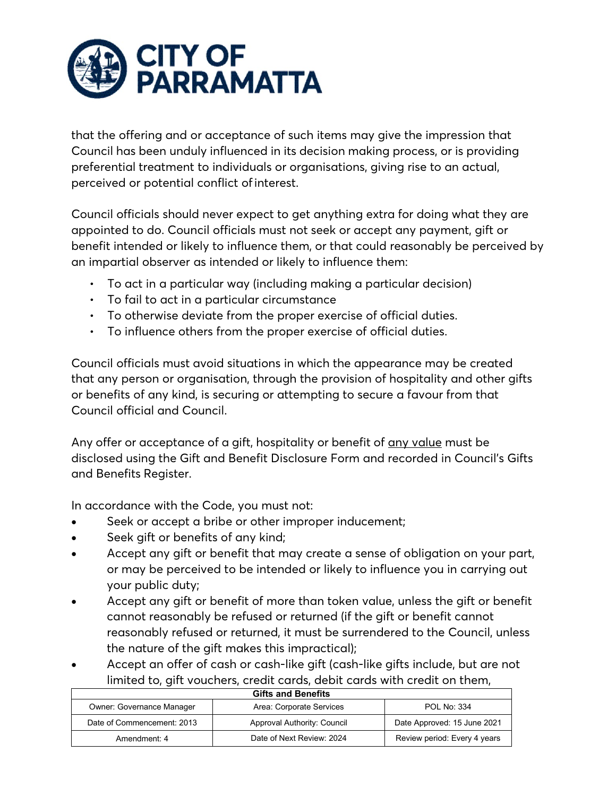

that the offering and or acceptance of such items may give the impression that Council has been unduly influenced in its decision making process, or is providing preferential treatment to individuals or organisations, giving rise to an actual, perceived or potential conflict ofinterest.

Council officials should never expect to get anything extra for doing what they are appointed to do. Council officials must not seek or accept any payment, gift or benefit intended or likely to influence them, or that could reasonably be perceived by an impartial observer as intended or likely to influence them:

- To act in a particular way (including making a particular decision)
- To fail to act in a particular circumstance
- To otherwise deviate from the proper exercise of official duties.
- To influence others from the proper exercise of official duties.

Council officials must avoid situations in which the appearance may be created that any person or organisation, through the provision of hospitality and other gifts or benefits of any kind, is securing or attempting to secure a favour from that Council official and Council.

Any offer or acceptance of a gift, hospitality or benefit of any value must be disclosed using the Gift and Benefit Disclosure Form and recorded in Council's Gifts and Benefits Register.

In accordance with the Code, you must not:

- Seek or accept a bribe or other improper inducement;
- Seek gift or benefits of any kind;
- Accept any gift or benefit that may create a sense of obligation on your part, or may be perceived to be intended or likely to influence you in carrying out your public duty;
- Accept any gift or benefit of more than token value, unless the gift or benefit cannot reasonably be refused or returned (if the gift or benefit cannot reasonably refused or returned, it must be surrendered to the Council, unless the nature of the gift makes this impractical);
- Accept an offer of cash or cash-like gift (cash-like gifts include, but are not limited to, gift vouchers, credit cards, debit cards with credit on them,

| <b>Gifts and Benefits</b>        |                             |                              |
|----------------------------------|-----------------------------|------------------------------|
| <b>Owner: Governance Manager</b> | Area: Corporate Services    | <b>POL No: 334</b>           |
| Date of Commencement: 2013       | Approval Authority: Council | Date Approved: 15 June 2021  |
| Amendment: 4                     | Date of Next Review: 2024   | Review period: Every 4 years |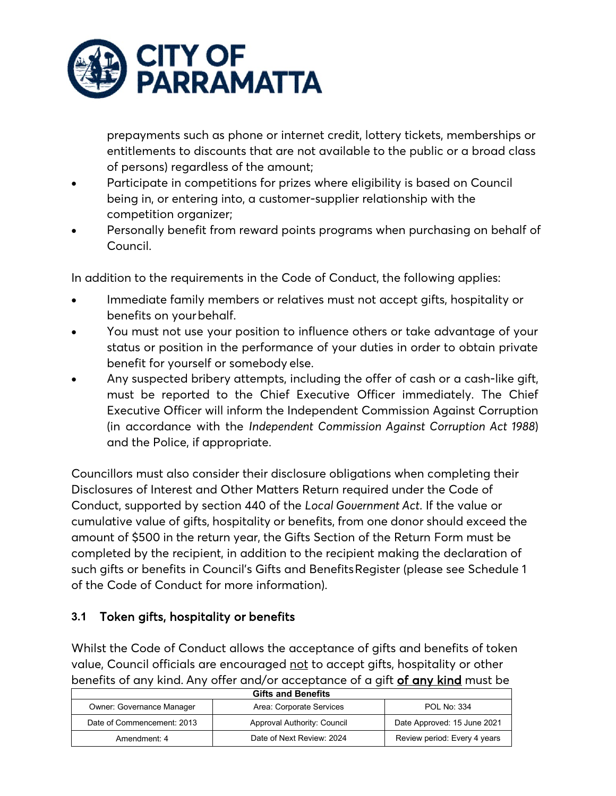

prepayments such as phone or internet credit, lottery tickets, memberships or entitlements to discounts that are not available to the public or a broad class of persons) regardless of the amount;

- Participate in competitions for prizes where eligibility is based on Council being in, or entering into, a customer-supplier relationship with the competition organizer;
- Personally benefit from reward points programs when purchasing on behalf of Council.

In addition to the requirements in the Code of Conduct, the following applies:

- Immediate family members or relatives must not accept gifts, hospitality or benefits on your behalf.
- You must not use your position to influence others or take advantage of your status or position in the performance of your duties in order to obtain private benefit for yourself or somebody else.
- Any suspected bribery attempts, including the offer of cash or a cash-like gift, must be reported to the Chief Executive Officer immediately. The Chief Executive Officer will inform the Independent Commission Against Corruption (in accordance with the *Independent Commission Against Corruption Act 1988*) and the Police, if appropriate.

Councillors must also consider their disclosure obligations when completing their Disclosures of Interest and Other Matters Return required under the Code of Conduct, supported by section 440 of the *Local Government Act*. If the value or cumulative value of gifts, hospitality or benefits, from one donor should exceed the amount of \$500 in the return year, the Gifts Section of the Return Form must be completed by the recipient, in addition to the recipient making the declaration of such gifts or benefits in Council's Gifts and BenefitsRegister (please see Schedule 1 of the Code of Conduct for more information).

## **3.1** Token gifts, hospitality or benefits

Whilst the Code of Conduct allows the acceptance of gifts and benefits of token value, Council officials are encouraged not to accept gifts, hospitality or other benefits of any kind. Any offer and/or acceptance of a gift of any kind must be

| <b>Gifts and Benefits</b>        |                             |                              |
|----------------------------------|-----------------------------|------------------------------|
| <b>Owner: Governance Manager</b> | Area: Corporate Services    | <b>POL No: 334</b>           |
| Date of Commencement: 2013       | Approval Authority: Council | Date Approved: 15 June 2021  |
| Amendment: 4                     | Date of Next Review: 2024   | Review period: Every 4 years |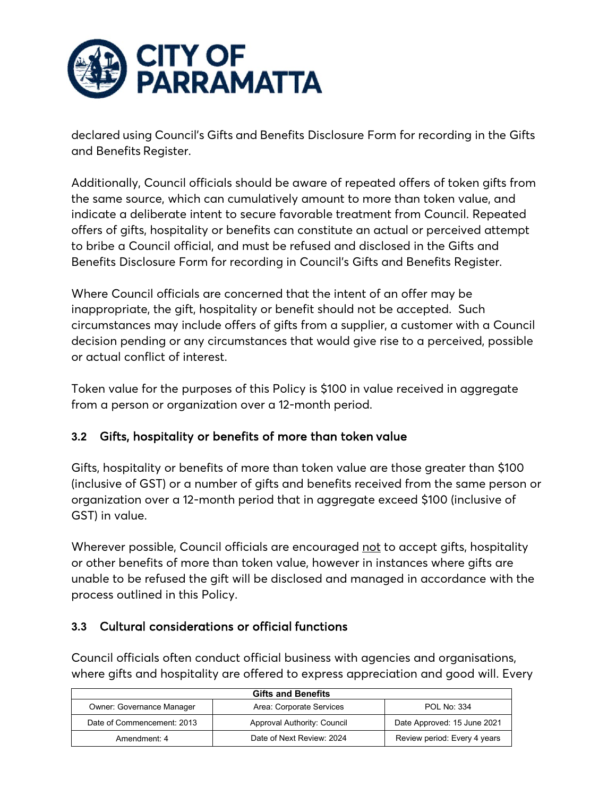

declared using Council's Gifts and Benefits Disclosure Form for recording in the Gifts and Benefits Register.

Additionally, Council officials should be aware of repeated offers of token gifts from the same source, which can cumulatively amount to more than token value, and indicate a deliberate intent to secure favorable treatment from Council. Repeated offers of gifts, hospitality or benefits can constitute an actual or perceived attempt to bribe a Council official, and must be refused and disclosed in the Gifts and Benefits Disclosure Form for recording in Council's Gifts and Benefits Register.

Where Council officials are concerned that the intent of an offer may be inappropriate, the gift, hospitality or benefit should not be accepted. Such circumstances may include offers of gifts from a supplier, a customer with a Council decision pending or any circumstances that would give rise to a perceived, possible or actual conflict of interest.

Token value for the purposes of this Policy is \$100 in value received in aggregate from a person or organization over a 12-month period.

## **3.2** Gifts, hospitality or benefits of more than token value

Gifts, hospitality or benefits of more than token value are those greater than \$100 (inclusive of GST) or a number of gifts and benefits received from the same person or organization over a 12-month period that in aggregate exceed \$100 (inclusive of GST) in value.

Wherever possible, Council officials are encouraged not to accept gifts, hospitality or other benefits of more than token value, however in instances where gifts are unable to be refused the gift will be disclosed and managed in accordance with the process outlined in this Policy.

# **3.3** Cultural considerations or official functions

Council officials often conduct official business with agencies and organisations, where gifts and hospitality are offered to express appreciation and good will. Every

| <b>Gifts and Benefits</b>        |                             |                              |
|----------------------------------|-----------------------------|------------------------------|
| <b>Owner: Governance Manager</b> | Area: Corporate Services    | <b>POL No: 334</b>           |
| Date of Commencement: 2013       | Approval Authority: Council | Date Approved: 15 June 2021  |
| Amendment: 4                     | Date of Next Review: 2024   | Review period: Every 4 years |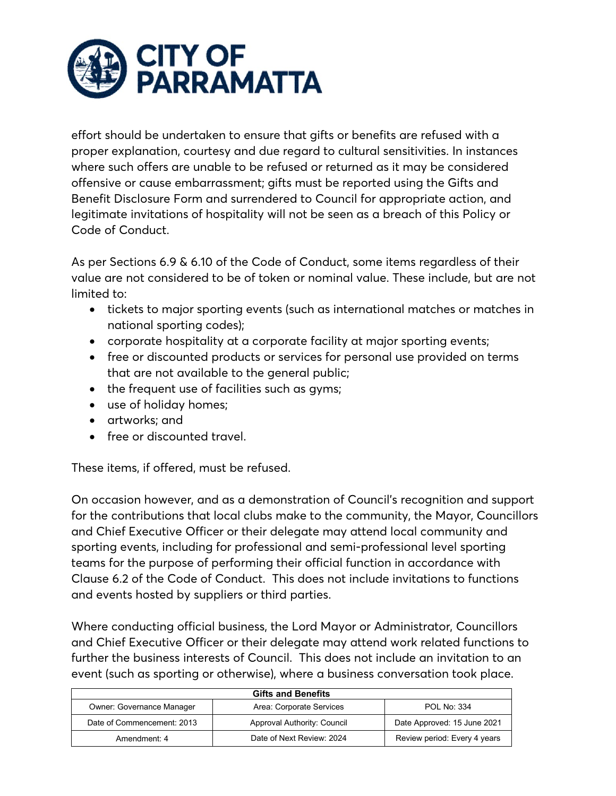

effort should be undertaken to ensure that gifts or benefits are refused with a proper explanation, courtesy and due regard to cultural sensitivities. In instances where such offers are unable to be refused or returned as it may be considered offensive or cause embarrassment; gifts must be reported using the Gifts and Benefit Disclosure Form and surrendered to Council for appropriate action, and legitimate invitations of hospitality will not be seen as a breach of this Policy or Code of Conduct.

As per Sections 6.9 & 6.10 of the Code of Conduct, some items regardless of their value are not considered to be of token or nominal value. These include, but are not limited to:

- tickets to major sporting events (such as international matches or matches in national sporting codes);
- corporate hospitality at a corporate facility at major sporting events;
- free or discounted products or services for personal use provided on terms that are not available to the general public;
- the frequent use of facilities such as gyms;
- use of holiday homes;
- artworks; and
- free or discounted travel.

These items, if offered, must be refused.

On occasion however, and as a demonstration of Council's recognition and support for the contributions that local clubs make to the community, the Mayor, Councillors and Chief Executive Officer or their delegate may attend local community and sporting events, including for professional and semi-professional level sporting teams for the purpose of performing their official function in accordance with Clause 6.2 of the Code of Conduct. This does not include invitations to functions and events hosted by suppliers or third parties.

Where conducting official business, the Lord Mayor or Administrator, Councillors and Chief Executive Officer or their delegate may attend work related functions to further the business interests of Council. This does not include an invitation to an event (such as sporting or otherwise), where a business conversation took place.

| <b>Gifts and Benefits</b>  |                             |                              |
|----------------------------|-----------------------------|------------------------------|
| Owner: Governance Manager  | Area: Corporate Services    | <b>POL No: 334</b>           |
| Date of Commencement: 2013 | Approval Authority: Council | Date Approved: 15 June 2021  |
| Amendment: 4               | Date of Next Review: 2024   | Review period: Every 4 years |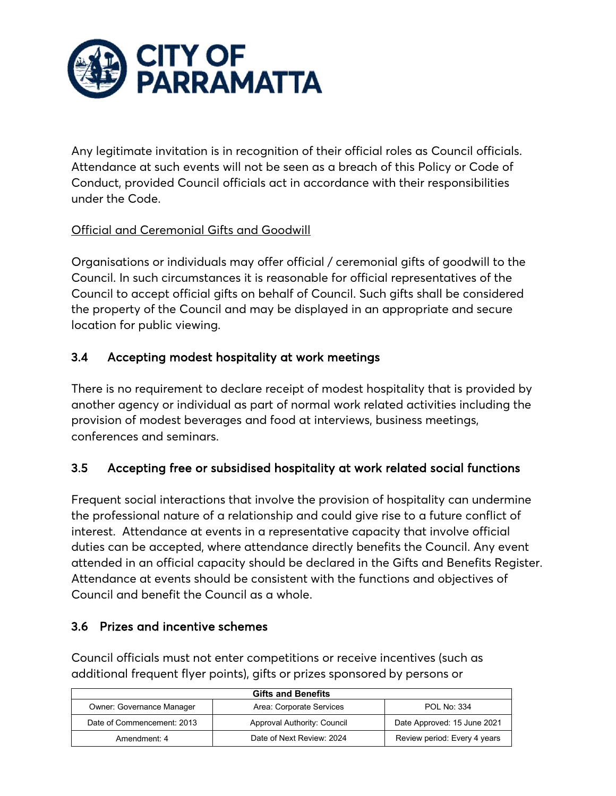

Any legitimate invitation is in recognition of their official roles as Council officials. Attendance at such events will not be seen as a breach of this Policy or Code of Conduct, provided Council officials act in accordance with their responsibilities under the Code.

## Official and Ceremonial Gifts and Goodwill

Organisations or individuals may offer official / ceremonial gifts of goodwill to the Council. In such circumstances it is reasonable for official representatives of the Council to accept official gifts on behalf of Council. Such gifts shall be considered the property of the Council and may be displayed in an appropriate and secure location for public viewing.

# 3.4 Accepting modest hospitality at work meetings

There is no requirement to declare receipt of modest hospitality that is provided by another agency or individual as part of normal work related activities including the provision of modest beverages and food at interviews, business meetings, conferences and seminars.

# 3.5 Accepting free or subsidised hospitality at work related social functions

Frequent social interactions that involve the provision of hospitality can undermine the professional nature of a relationship and could give rise to a future conflict of interest. Attendance at events in a representative capacity that involve official duties can be accepted, where attendance directly benefits the Council. Any event attended in an official capacity should be declared in the Gifts and Benefits Register. Attendance at events should be consistent with the functions and objectives of Council and benefit the Council as a whole.

## 3.6 Prizes and incentive schemes

Council officials must not enter competitions or receive incentives (such as additional frequent flyer points), gifts or prizes sponsored by persons or

| <b>Gifts and Benefits</b>        |                             |                              |
|----------------------------------|-----------------------------|------------------------------|
| <b>Owner: Governance Manager</b> | Area: Corporate Services    | <b>POL No: 334</b>           |
| Date of Commencement: 2013       | Approval Authority: Council | Date Approved: 15 June 2021  |
| Amendment: 4                     | Date of Next Review: 2024   | Review period: Every 4 years |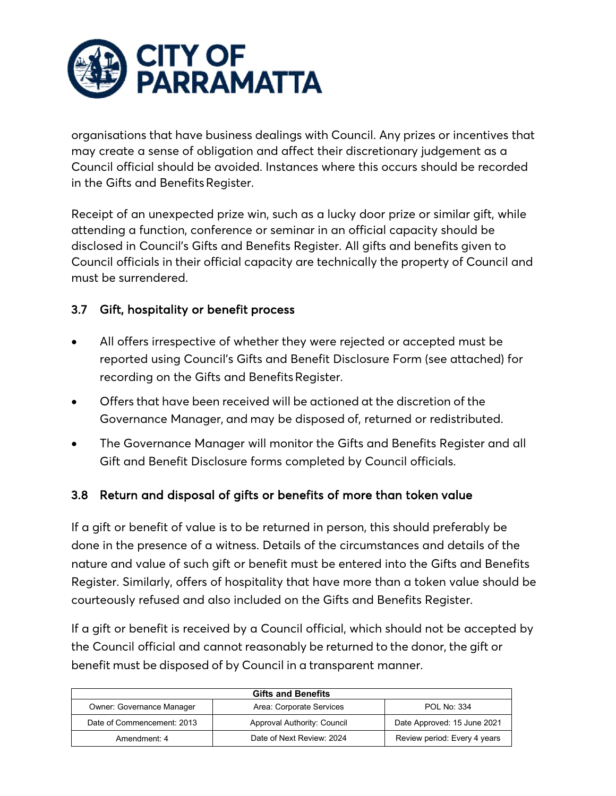

organisations that have business dealings with Council. Any prizes or incentives that may create a sense of obligation and affect their discretionary judgement as a Council official should be avoided. Instances where this occurs should be recorded in the Gifts and Benefits Register.

Receipt of an unexpected prize win, such as a lucky door prize or similar gift, while attending a function, conference or seminar in an official capacity should be disclosed in Council's Gifts and Benefits Register. All gifts and benefits given to Council officials in their official capacity are technically the property of Council and must be surrendered.

## 3.7 Gift, hospitality or benefit process

- All offers irrespective of whether they were rejected or accepted must be reported using Council's Gifts and Benefit Disclosure Form (see attached) for recording on the Gifts and Benefits Register.
- Offers that have been received will be actioned at the discretion of the Governance Manager, and may be disposed of, returned or redistributed.
- The Governance Manager will monitor the Gifts and Benefits Register and all Gift and Benefit Disclosure forms completed by Council officials.

## 3.8 Return and disposal of gifts or benefits of more than token value

If a gift or benefit of value is to be returned in person, this should preferably be done in the presence of a witness. Details of the circumstances and details of the nature and value of such gift or benefit must be entered into the Gifts and Benefits Register. Similarly, offers of hospitality that have more than a token value should be courteously refused and also included on the Gifts and Benefits Register.

If a gift or benefit is received by a Council official, which should not be accepted by the Council official and cannot reasonably be returned to the donor, the gift or benefit must be disposed of by Council in a transparent manner.

| <b>Gifts and Benefits</b>        |                             |                              |
|----------------------------------|-----------------------------|------------------------------|
| <b>Owner: Governance Manager</b> | Area: Corporate Services    | <b>POL No: 334</b>           |
| Date of Commencement: 2013       | Approval Authority: Council | Date Approved: 15 June 2021  |
| Amendment: 4                     | Date of Next Review: 2024   | Review period: Every 4 years |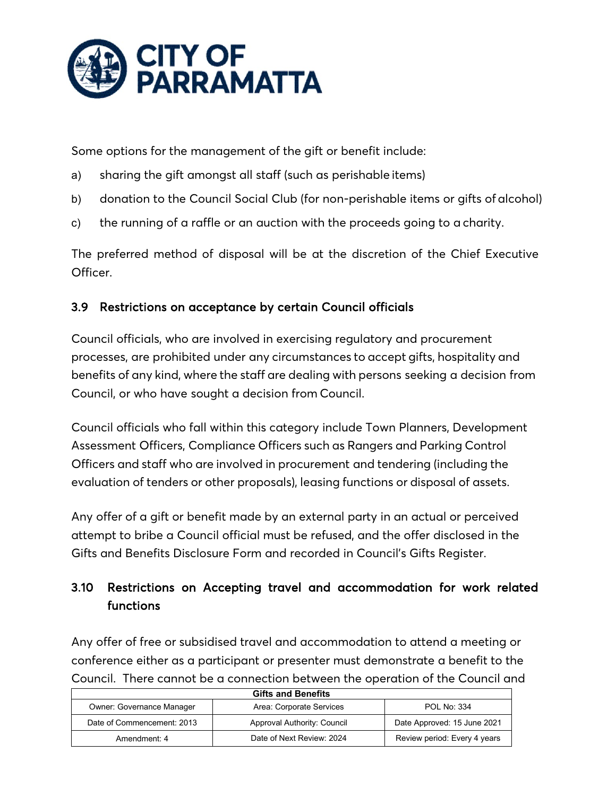

Some options for the management of the gift or benefit include:

- a) sharing the gift amongst all staff (such as perishable items)
- b) donation to the Council Social Club (for non-perishable items or gifts of alcohol)
- c) the running of a raffle or an auction with the proceeds going to a charity.

The preferred method of disposal will be at the discretion of the Chief Executive Officer.

## 3.9 Restrictions on acceptance by certain Council officials

Council officials, who are involved in exercising regulatory and procurement processes, are prohibited under any circumstances to accept gifts, hospitality and benefits of any kind, where the staff are dealing with persons seeking a decision from Council, or who have sought a decision from Council.

Council officials who fall within this category include Town Planners, Development Assessment Officers, Compliance Officers such as Rangers and Parking Control Officers and staff who are involved in procurement and tendering (including the evaluation of tenders or other proposals), leasing functions or disposal of assets.

Any offer of a gift or benefit made by an external party in an actual or perceived attempt to bribe a Council official must be refused, and the offer disclosed in the Gifts and Benefits Disclosure Form and recorded in Council's Gifts Register.

# 3.10 Restrictions on Accepting travel and accommodation for work related functions

Any offer of free or subsidised travel and accommodation to attend a meeting or conference either as a participant or presenter must demonstrate a benefit to the Council. There cannot be a connection between the operation of the Council and

| <b>Gifts and Benefits</b>        |                             |                              |
|----------------------------------|-----------------------------|------------------------------|
| <b>Owner: Governance Manager</b> | Area: Corporate Services    | <b>POL No: 334</b>           |
| Date of Commencement: 2013       | Approval Authority: Council | Date Approved: 15 June 2021  |
| Amendment: 4                     | Date of Next Review: 2024   | Review period: Every 4 years |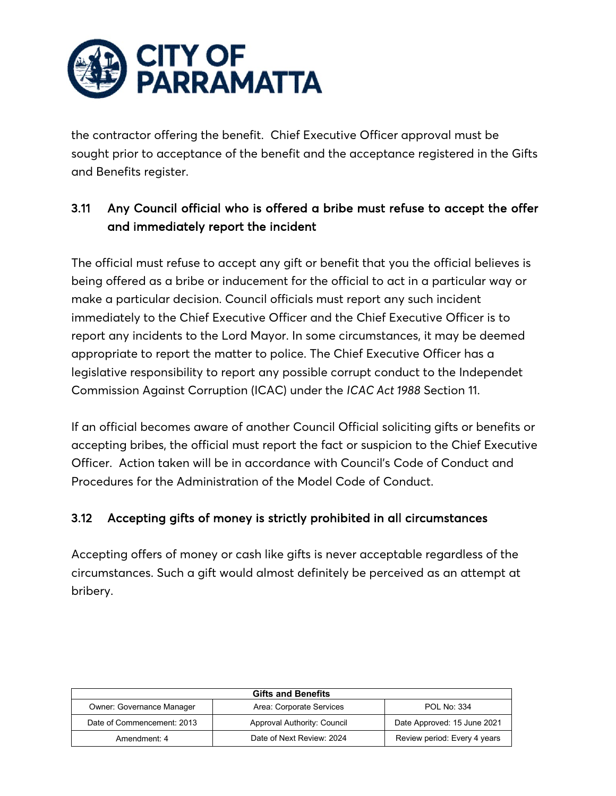

the contractor offering the benefit. Chief Executive Officer approval must be sought prior to acceptance of the benefit and the acceptance registered in the Gifts and Benefits register.

# 3.11 Any Council official who is offered a bribe must refuse to accept the offer and immediately report the incident

The official must refuse to accept any gift or benefit that you the official believes is being offered as a bribe or inducement for the official to act in a particular way or make a particular decision. Council officials must report any such incident immediately to the Chief Executive Officer and the Chief Executive Officer is to report any incidents to the Lord Mayor. In some circumstances, it may be deemed appropriate to report the matter to police. The Chief Executive Officer has a legislative responsibility to report any possible corrupt conduct to the Independet Commission Against Corruption (ICAC) under the *ICAC Act 1988* Section 11.

If an official becomes aware of another Council Official soliciting gifts or benefits or accepting bribes, the official must report the fact or suspicion to the Chief Executive Officer. Action taken will be in accordance with Council's Code of Conduct and Procedures for the Administration of the Model Code of Conduct.

## 3.12 Accepting gifts of money is strictly prohibited in all circumstances

Accepting offers of money or cash like gifts is never acceptable regardless of the circumstances. Such a gift would almost definitely be perceived as an attempt at bribery.

| <b>Gifts and Benefits</b>        |                             |                              |
|----------------------------------|-----------------------------|------------------------------|
| <b>Owner: Governance Manager</b> | Area: Corporate Services    | <b>POL No: 334</b>           |
| Date of Commencement: 2013       | Approval Authority: Council | Date Approved: 15 June 2021  |
| Amendment: 4                     | Date of Next Review: 2024   | Review period: Every 4 years |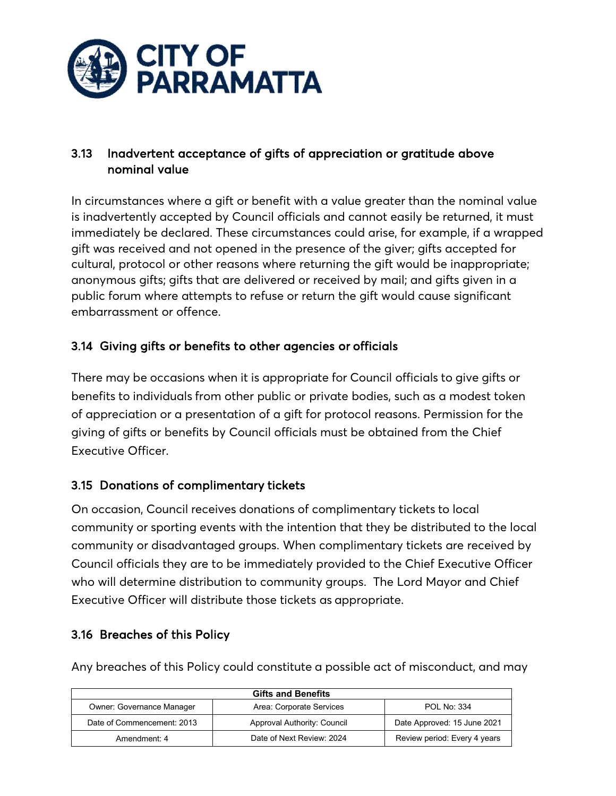

## 3.13 Inadvertent acceptance of gifts of appreciation or gratitude above nominal value

In circumstances where a gift or benefit with a value greater than the nominal value is inadvertently accepted by Council officials and cannot easily be returned, it must immediately be declared. These circumstances could arise, for example, if a wrapped gift was received and not opened in the presence of the giver; gifts accepted for cultural, protocol or other reasons where returning the gift would be inappropriate; anonymous gifts; gifts that are delivered or received by mail; and gifts given in a public forum where attempts to refuse or return the gift would cause significant embarrassment or offence.

# 3.14 Giving gifts or benefits to other agencies or officials

There may be occasions when it is appropriate for Council officials to give gifts or benefits to individuals from other public or private bodies, such as a modest token of appreciation or a presentation of a gift for protocol reasons. Permission for the giving of gifts or benefits by Council officials must be obtained from the Chief Executive Officer.

# 3.15 Donations of complimentary tickets

On occasion, Council receives donations of complimentary tickets to local community or sporting events with the intention that they be distributed to the local community or disadvantaged groups. When complimentary tickets are received by Council officials they are to be immediately provided to the Chief Executive Officer who will determine distribution to community groups. The Lord Mayor and Chief Executive Officer will distribute those tickets as appropriate.

## 3.16 Breaches of this Policy

Any breaches of this Policy could constitute a possible act of misconduct, and may

| <b>Gifts and Benefits</b>  |                             |                              |
|----------------------------|-----------------------------|------------------------------|
| Owner: Governance Manager  | Area: Corporate Services    | <b>POL No: 334</b>           |
| Date of Commencement: 2013 | Approval Authority: Council | Date Approved: 15 June 2021  |
| Amendment: 4               | Date of Next Review: 2024   | Review period: Every 4 years |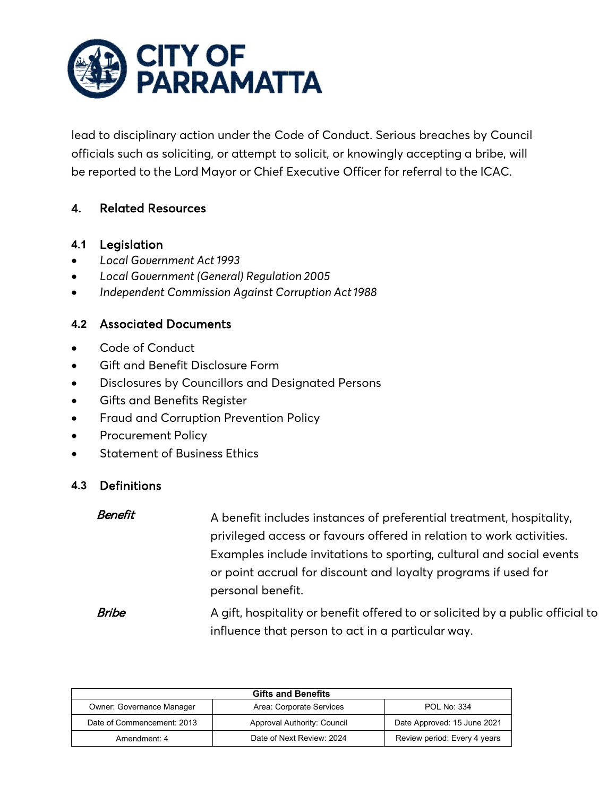

lead to disciplinary action under the Code of Conduct. Serious breaches by Council officials such as soliciting, or attempt to solicit, or knowingly accepting a bribe, will be reported to the Lord Mayor or Chief Executive Officer for referral to the ICAC.

## 4. Related Resources

#### **4.1** Legislation

- *Local Government Act 1993*
- *Local Government (General) Regulation 2005*
- *Independent Commission Against Corruption Act1988*

## **4.2** Associated Documents

- Code of Conduct
- Gift and Benefit Disclosure Form
- Disclosures by Councillors and Designated Persons
- Gifts and Benefits Register
- Fraud and Corruption Prevention Policy
- Procurement Policy
- Statement of Business Ethics

## **4.3** Definitions

| Benefit | A benefit includes instances of preferential treatment, hospitality,                |
|---------|-------------------------------------------------------------------------------------|
|         | privileged access or favours offered in relation to work activities.                |
|         | Examples include invitations to sporting, cultural and social events                |
|         | or point accrual for discount and loyalty programs if used for<br>personal benefit. |
| Bribe   | A gift, hospitality or benefit offered to or solicited by a public official to      |
|         | influence that person to act in a particular way.                                   |

| <b>Gifts and Benefits</b>        |                             |                              |
|----------------------------------|-----------------------------|------------------------------|
| <b>Owner: Governance Manager</b> | Area: Corporate Services    | <b>POL No: 334</b>           |
| Date of Commencement: 2013       | Approval Authority: Council | Date Approved: 15 June 2021  |
| Amendment: 4                     | Date of Next Review: 2024   | Review period: Every 4 years |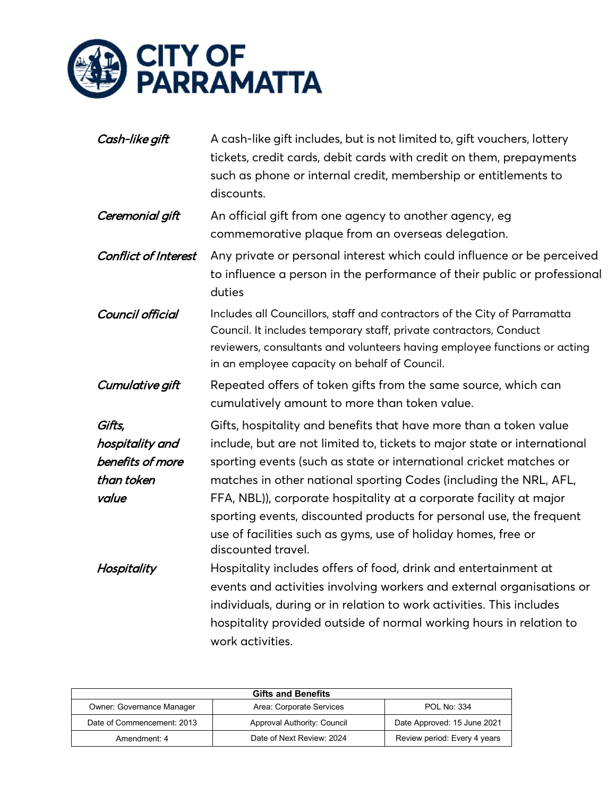

| Cash-like gift                                                       | A cash-like gift includes, but is not limited to, gift vouchers, lottery<br>tickets, credit cards, debit cards with credit on them, prepayments<br>such as phone or internal credit, membership or entitlements to<br>discounts.                                                                                                                                                                                                                                                                                             |
|----------------------------------------------------------------------|------------------------------------------------------------------------------------------------------------------------------------------------------------------------------------------------------------------------------------------------------------------------------------------------------------------------------------------------------------------------------------------------------------------------------------------------------------------------------------------------------------------------------|
| Ceremonial gift                                                      | An official gift from one agency to another agency, eg<br>commemorative plaque from an overseas delegation.                                                                                                                                                                                                                                                                                                                                                                                                                  |
| <b>Conflict of Interest</b>                                          | Any private or personal interest which could influence or be perceived<br>to influence a person in the performance of their public or professional<br>duties                                                                                                                                                                                                                                                                                                                                                                 |
| Council official                                                     | Includes all Councillors, staff and contractors of the City of Parramatta<br>Council. It includes temporary staff, private contractors, Conduct<br>reviewers, consultants and volunteers having employee functions or acting<br>in an employee capacity on behalf of Council.                                                                                                                                                                                                                                                |
| Cumulative gift                                                      | Repeated offers of token gifts from the same source, which can<br>cumulatively amount to more than token value.                                                                                                                                                                                                                                                                                                                                                                                                              |
| Gifts,<br>hospitality and<br>benefits of more<br>than token<br>value | Gifts, hospitality and benefits that have more than a token value<br>include, but are not limited to, tickets to major state or international<br>sporting events (such as state or international cricket matches or<br>matches in other national sporting Codes (including the NRL, AFL,<br>FFA, NBL)), corporate hospitality at a corporate facility at major<br>sporting events, discounted products for personal use, the frequent<br>use of facilities such as gyms, use of holiday homes, free or<br>discounted travel. |
| Hospitality                                                          | Hospitality includes offers of food, drink and entertainment at<br>events and activities involving workers and external organisations or<br>individuals, during or in relation to work activities. This includes<br>hospitality provided outside of normal working hours in relation to<br>work activities.                                                                                                                                                                                                                  |

| <b>Gifts and Benefits</b>  |                             |                              |  |  |  |
|----------------------------|-----------------------------|------------------------------|--|--|--|
| Owner: Governance Manager  | Area: Corporate Services    | <b>POL No: 334</b>           |  |  |  |
| Date of Commencement: 2013 | Approval Authority: Council | Date Approved: 15 June 2021  |  |  |  |
| Amendment: 4               | Date of Next Review: 2024   | Review period: Every 4 years |  |  |  |